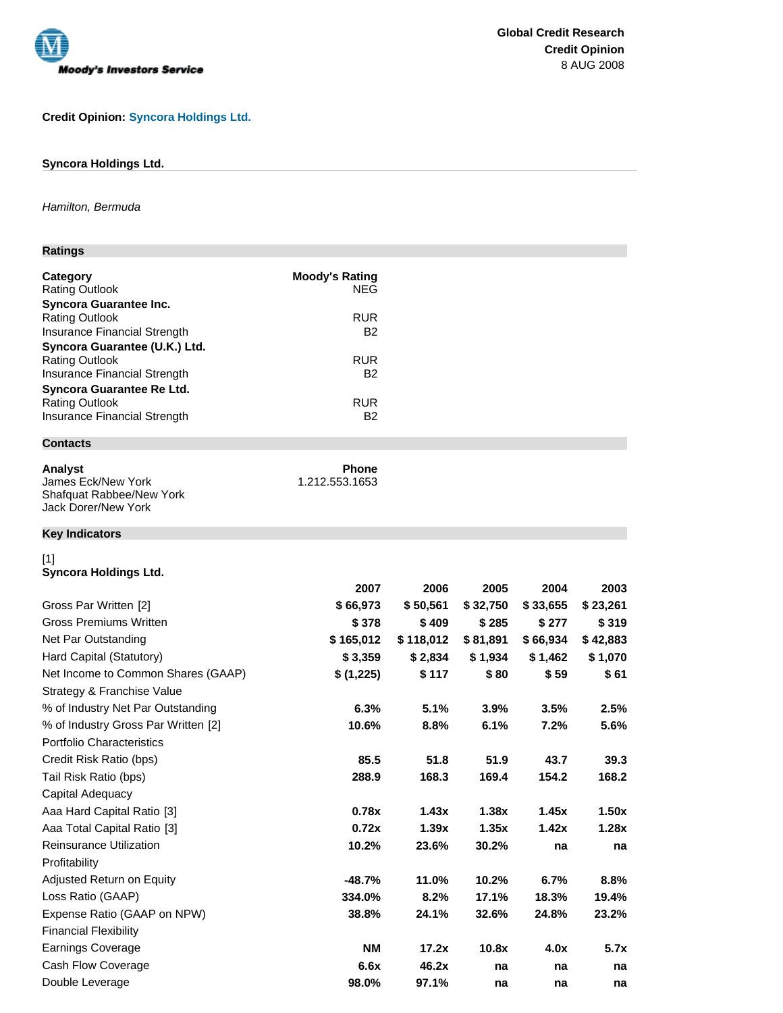

## **Credit Opinion: Syncora Holdings Ltd.**

## **Syncora Holdings Ltd.**

## Hamilton, Bermuda

## **Ratings**

| Category                      | <b>Moody's Rating</b> |
|-------------------------------|-----------------------|
| <b>Rating Outlook</b>         | <b>NEG</b>            |
| <b>Syncora Guarantee Inc.</b> |                       |
| <b>Rating Outlook</b>         | <b>RUR</b>            |
| Insurance Financial Strength  | B2                    |
| Syncora Guarantee (U.K.) Ltd. |                       |
| <b>Rating Outlook</b>         | <b>RUR</b>            |
| Insurance Financial Strength  | B2                    |
| Syncora Guarantee Re Ltd.     |                       |
| <b>Rating Outlook</b>         | <b>RUR</b>            |
| Insurance Financial Strength  | B2                    |

# **Contacts**

| <b>Analyst</b>           | Phone          |
|--------------------------|----------------|
| James Eck/New York       | 1.212.553.1653 |
| Shafquat Rabbee/New York |                |
| Jack Dorer/New York      |                |

## **Key Indicators**

[1]

## **Syncora Holdings Ltd.**

|                                     | 2007      | 2006      | 2005     | 2004     | 2003     |
|-------------------------------------|-----------|-----------|----------|----------|----------|
| Gross Par Written [2]               | \$66,973  | \$50,561  | \$32,750 | \$33,655 | \$23,261 |
| <b>Gross Premiums Written</b>       | \$378     | \$409     | \$285    | \$277    | \$319    |
| Net Par Outstanding                 | \$165,012 | \$118,012 | \$81,891 | \$66,934 | \$42,883 |
| Hard Capital (Statutory)            | \$3,359   | \$2,834   | \$1,934  | \$1,462  | \$1,070  |
| Net Income to Common Shares (GAAP)  | \$(1,225) | \$117     | \$80     | \$59     | \$ 61    |
| Strategy & Franchise Value          |           |           |          |          |          |
| % of Industry Net Par Outstanding   | 6.3%      | 5.1%      | 3.9%     | 3.5%     | 2.5%     |
| % of Industry Gross Par Written [2] | 10.6%     | 8.8%      | 6.1%     | 7.2%     | 5.6%     |
| <b>Portfolio Characteristics</b>    |           |           |          |          |          |
| Credit Risk Ratio (bps)             | 85.5      | 51.8      | 51.9     | 43.7     | 39.3     |
| Tail Risk Ratio (bps)               | 288.9     | 168.3     | 169.4    | 154.2    | 168.2    |
| Capital Adequacy                    |           |           |          |          |          |
| Aaa Hard Capital Ratio [3]          | 0.78x     | 1.43x     | 1.38x    | 1.45x    | 1.50x    |
| Aaa Total Capital Ratio [3]         | 0.72x     | 1.39x     | 1.35x    | 1.42x    | 1.28x    |
| <b>Reinsurance Utilization</b>      | 10.2%     | 23.6%     | 30.2%    | na       | na       |
| Profitability                       |           |           |          |          |          |
| Adjusted Return on Equity           | $-48.7%$  | 11.0%     | 10.2%    | 6.7%     | 8.8%     |
| Loss Ratio (GAAP)                   | 334.0%    | 8.2%      | 17.1%    | 18.3%    | 19.4%    |
| Expense Ratio (GAAP on NPW)         | 38.8%     | 24.1%     | 32.6%    | 24.8%    | 23.2%    |
| <b>Financial Flexibility</b>        |           |           |          |          |          |
| Earnings Coverage                   | <b>NM</b> | 17.2x     | 10.8x    | 4.0x     | 5.7x     |
| Cash Flow Coverage                  | 6.6x      | 46.2x     | na       | na       | na       |
| Double Leverage                     | 98.0%     | 97.1%     | na       | na       | na       |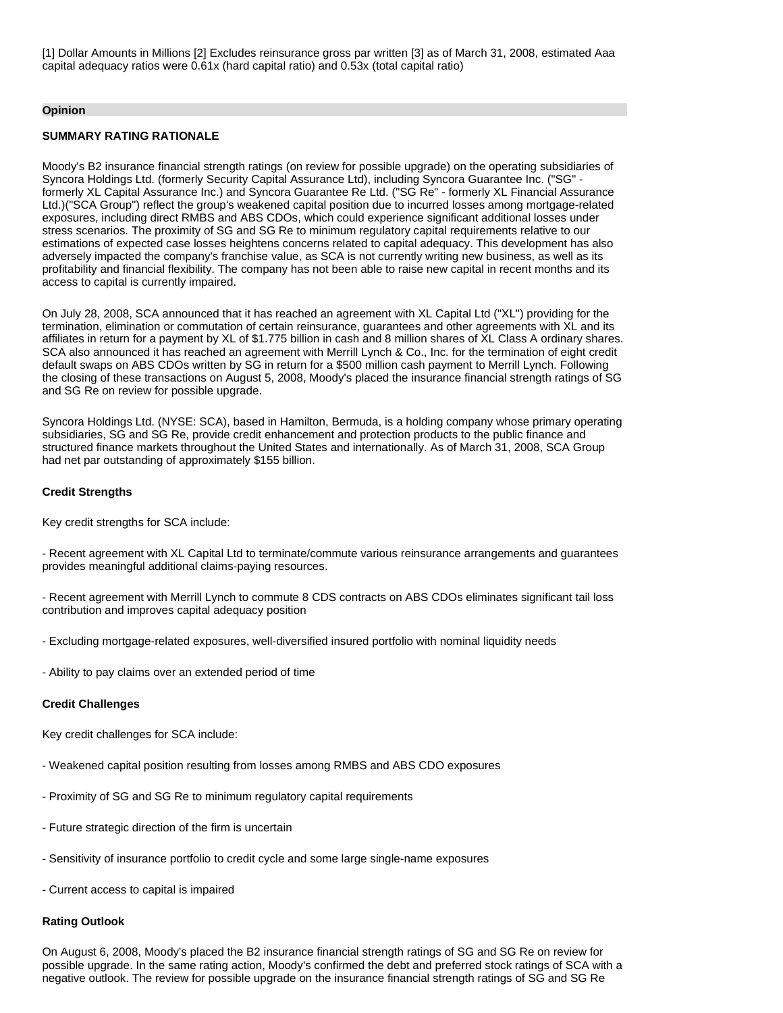[1] Dollar Amounts in Millions [2] Excludes reinsurance gross par written [3] as of March 31, 2008, estimated Aaa capital adequacy ratios were 0.61x (hard capital ratio) and 0.53x (total capital ratio)

#### **Opinion**

### **SUMMARY RATING RATIONALE**

Moody's B2 insurance financial strength ratings (on review for possible upgrade) on the operating subsidiaries of Syncora Holdings Ltd. (formerly Security Capital Assurance Ltd), including Syncora Guarantee Inc. ("SG" formerly XL Capital Assurance Inc.) and Syncora Guarantee Re Ltd. ("SG Re" - formerly XL Financial Assurance Ltd.)("SCA Group") reflect the group's weakened capital position due to incurred losses among mortgage-related exposures, including direct RMBS and ABS CDOs, which could experience significant additional losses under stress scenarios. The proximity of SG and SG Re to minimum regulatory capital requirements relative to our estimations of expected case losses heightens concerns related to capital adequacy. This development has also adversely impacted the company's franchise value, as SCA is not currently writing new business, as well as its profitability and financial flexibility. The company has not been able to raise new capital in recent months and its access to capital is currently impaired.

On July 28, 2008, SCA announced that it has reached an agreement with XL Capital Ltd ("XL") providing for the termination, elimination or commutation of certain reinsurance, guarantees and other agreements with XL and its affiliates in return for a payment by XL of \$1.775 billion in cash and 8 million shares of XL Class A ordinary shares. SCA also announced it has reached an agreement with Merrill Lynch & Co., Inc. for the termination of eight credit default swaps on ABS CDOs written by SG in return for a \$500 million cash payment to Merrill Lynch. Following the closing of these transactions on August 5, 2008, Moody's placed the insurance financial strength ratings of SG and SG Re on review for possible upgrade.

Syncora Holdings Ltd. (NYSE: SCA), based in Hamilton, Bermuda, is a holding company whose primary operating subsidiaries, SG and SG Re, provide credit enhancement and protection products to the public finance and structured finance markets throughout the United States and internationally. As of March 31, 2008, SCA Group had net par outstanding of approximately \$155 billion.

#### **Credit Strengths**

Key credit strengths for SCA include:

- Recent agreement with XL Capital Ltd to terminate/commute various reinsurance arrangements and guarantees provides meaningful additional claims-paying resources.

- Recent agreement with Merrill Lynch to commute 8 CDS contracts on ABS CDOs eliminates significant tail loss contribution and improves capital adequacy position

- Excluding mortgage-related exposures, well-diversified insured portfolio with nominal liquidity needs
- Ability to pay claims over an extended period of time

#### **Credit Challenges**

Key credit challenges for SCA include:

- Weakened capital position resulting from losses among RMBS and ABS CDO exposures
- Proximity of SG and SG Re to minimum regulatory capital requirements
- Future strategic direction of the firm is uncertain
- Sensitivity of insurance portfolio to credit cycle and some large single-name exposures
- Current access to capital is impaired

#### **Rating Outlook**

On August 6, 2008, Moody's placed the B2 insurance financial strength ratings of SG and SG Re on review for possible upgrade. In the same rating action, Moody's confirmed the debt and preferred stock ratings of SCA with a negative outlook. The review for possible upgrade on the insurance financial strength ratings of SG and SG Re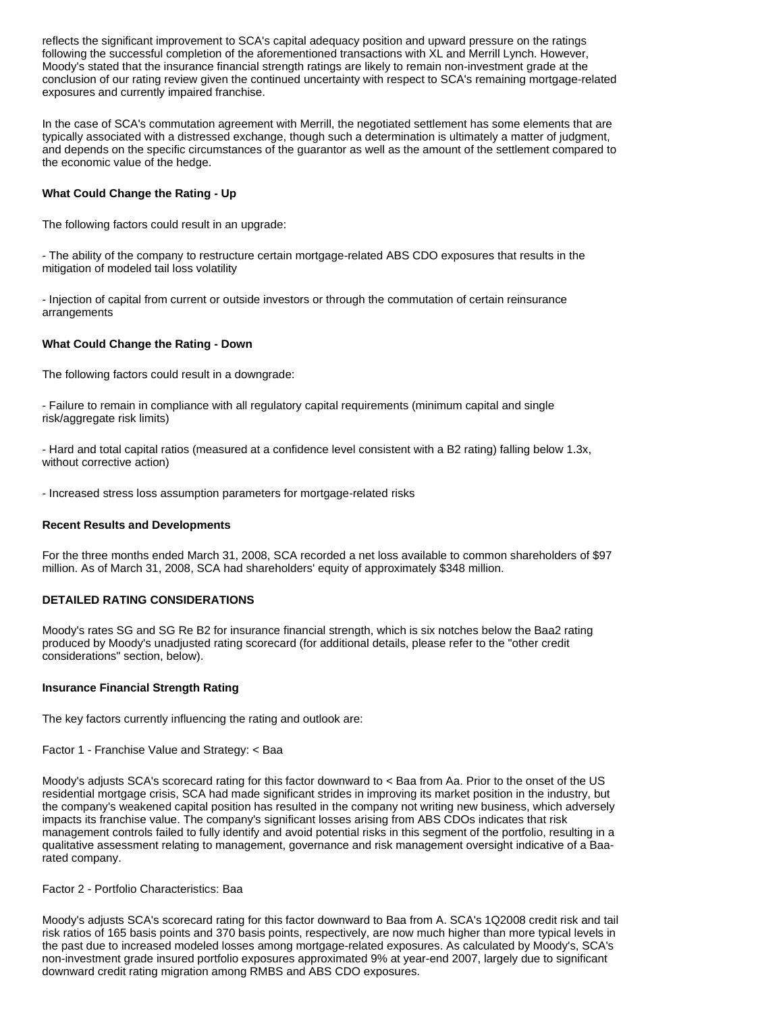reflects the significant improvement to SCA's capital adequacy position and upward pressure on the ratings following the successful completion of the aforementioned transactions with XL and Merrill Lynch. However, Moody's stated that the insurance financial strength ratings are likely to remain non-investment grade at the conclusion of our rating review given the continued uncertainty with respect to SCA's remaining mortgage-related exposures and currently impaired franchise.

In the case of SCA's commutation agreement with Merrill, the negotiated settlement has some elements that are typically associated with a distressed exchange, though such a determination is ultimately a matter of judgment, and depends on the specific circumstances of the guarantor as well as the amount of the settlement compared to the economic value of the hedge.

### **What Could Change the Rating - Up**

The following factors could result in an upgrade:

- The ability of the company to restructure certain mortgage-related ABS CDO exposures that results in the mitigation of modeled tail loss volatility

- Injection of capital from current or outside investors or through the commutation of certain reinsurance arrangements

### **What Could Change the Rating - Down**

The following factors could result in a downgrade:

- Failure to remain in compliance with all regulatory capital requirements (minimum capital and single risk/aggregate risk limits)

- Hard and total capital ratios (measured at a confidence level consistent with a B2 rating) falling below 1.3x, without corrective action)

- Increased stress loss assumption parameters for mortgage-related risks

### **Recent Results and Developments**

For the three months ended March 31, 2008, SCA recorded a net loss available to common shareholders of \$97 million. As of March 31, 2008, SCA had shareholders' equity of approximately \$348 million.

### **DETAILED RATING CONSIDERATIONS**

Moody's rates SG and SG Re B2 for insurance financial strength, which is six notches below the Baa2 rating produced by Moody's unadjusted rating scorecard (for additional details, please refer to the "other credit considerations" section, below).

### **Insurance Financial Strength Rating**

The key factors currently influencing the rating and outlook are:

Factor 1 - Franchise Value and Strategy: < Baa

Moody's adjusts SCA's scorecard rating for this factor downward to < Baa from Aa. Prior to the onset of the US residential mortgage crisis, SCA had made significant strides in improving its market position in the industry, but the company's weakened capital position has resulted in the company not writing new business, which adversely impacts its franchise value. The company's significant losses arising from ABS CDOs indicates that risk management controls failed to fully identify and avoid potential risks in this segment of the portfolio, resulting in a qualitative assessment relating to management, governance and risk management oversight indicative of a Baarated company.

#### Factor 2 - Portfolio Characteristics: Baa

Moody's adjusts SCA's scorecard rating for this factor downward to Baa from A. SCA's 1Q2008 credit risk and tail risk ratios of 165 basis points and 370 basis points, respectively, are now much higher than more typical levels in the past due to increased modeled losses among mortgage-related exposures. As calculated by Moody's, SCA's non-investment grade insured portfolio exposures approximated 9% at year-end 2007, largely due to significant downward credit rating migration among RMBS and ABS CDO exposures.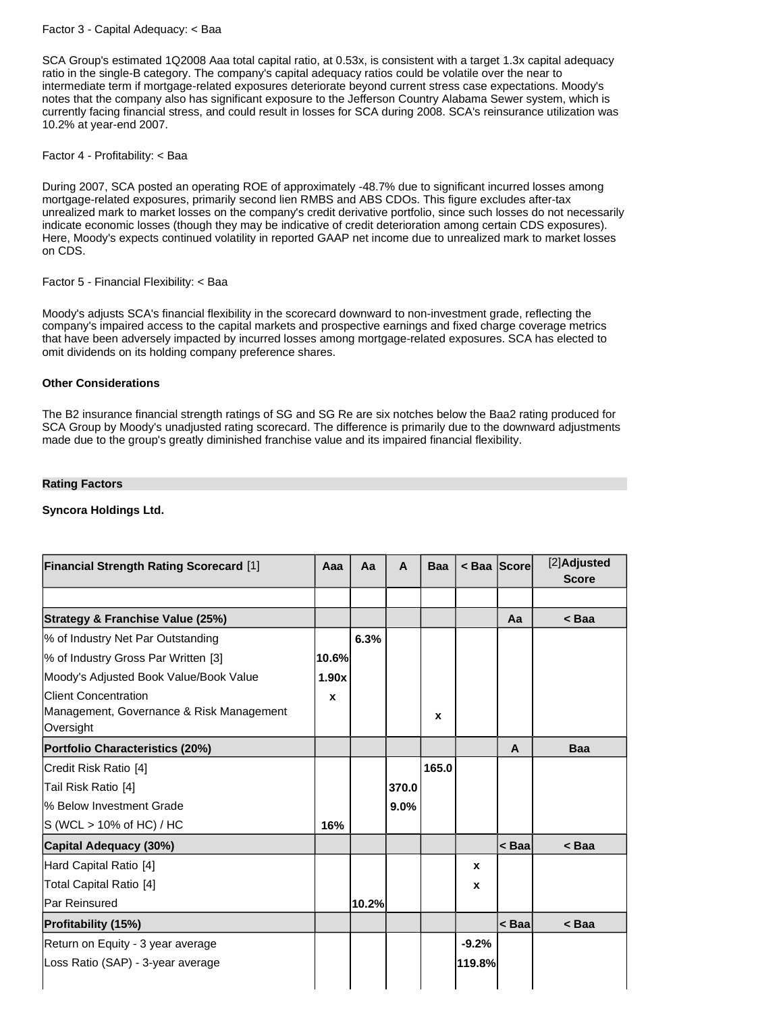Factor 3 - Capital Adequacy: < Baa

SCA Group's estimated 1Q2008 Aaa total capital ratio, at 0.53x, is consistent with a target 1.3x capital adequacy ratio in the single-B category. The company's capital adequacy ratios could be volatile over the near to intermediate term if mortgage-related exposures deteriorate beyond current stress case expectations. Moody's notes that the company also has significant exposure to the Jefferson Country Alabama Sewer system, which is currently facing financial stress, and could result in losses for SCA during 2008. SCA's reinsurance utilization was 10.2% at year-end 2007.

Factor 4 - Profitability: < Baa

During 2007, SCA posted an operating ROE of approximately -48.7% due to significant incurred losses among mortgage-related exposures, primarily second lien RMBS and ABS CDOs. This figure excludes after-tax unrealized mark to market losses on the company's credit derivative portfolio, since such losses do not necessarily indicate economic losses (though they may be indicative of credit deterioration among certain CDS exposures). Here, Moody's expects continued volatility in reported GAAP net income due to unrealized mark to market losses on CDS.

Factor 5 - Financial Flexibility: < Baa

Moody's adjusts SCA's financial flexibility in the scorecard downward to non-investment grade, reflecting the company's impaired access to the capital markets and prospective earnings and fixed charge coverage metrics that have been adversely impacted by incurred losses among mortgage-related exposures. SCA has elected to omit dividends on its holding company preference shares.

### **Other Considerations**

The B2 insurance financial strength ratings of SG and SG Re are six notches below the Baa2 rating produced for SCA Group by Moody's unadjusted rating scorecard. The difference is primarily due to the downward adjustments made due to the group's greatly diminished franchise value and its impaired financial flexibility.

### **Rating Factors**

### **Syncora Holdings Ltd.**

| <b>Financial Strength Rating Scorecard [1]</b>                                       | Aaa          | Aa    | A     | <b>Baa</b>   | < Baa   Score |          | [2]Adjusted<br><b>Score</b> |
|--------------------------------------------------------------------------------------|--------------|-------|-------|--------------|---------------|----------|-----------------------------|
|                                                                                      |              |       |       |              |               |          |                             |
| Strategy & Franchise Value (25%)                                                     |              |       |       |              |               | Aa       | < Baa                       |
| % of Industry Net Par Outstanding                                                    |              | 6.3%  |       |              |               |          |                             |
| % of Industry Gross Par Written [3]                                                  | 10.6%        |       |       |              |               |          |                             |
| Moody's Adjusted Book Value/Book Value                                               | 1.90x        |       |       |              |               |          |                             |
| <b>Client Concentration</b><br>Management, Governance & Risk Management<br>Oversight | $\mathbf{x}$ |       |       | $\mathbf{x}$ |               |          |                             |
| Portfolio Characteristics (20%)                                                      |              |       |       |              |               | A        | Baa                         |
| Credit Risk Ratio [4]                                                                |              |       |       | 165.0        |               |          |                             |
| Tail Risk Ratio [4]                                                                  |              |       | 370.0 |              |               |          |                             |
| l% Below Investment Grade                                                            |              |       | 9.0%  |              |               |          |                             |
| IS (WCL > 10% of HC) / HC                                                            | 16%          |       |       |              |               |          |                             |
| Capital Adequacy (30%)                                                               |              |       |       |              |               | $ <$ Baa | $<$ Baa                     |
| Hard Capital Ratio [4]                                                               |              |       |       |              | X             |          |                             |
| Total Capital Ratio [4]                                                              |              |       |       |              | X             |          |                             |
| Par Reinsured                                                                        |              | 10.2% |       |              |               |          |                             |
| <b>Profitability (15%)</b>                                                           |              |       |       |              |               | < Baal   | < Baa                       |
| Return on Equity - 3 year average                                                    |              |       |       |              | $-9.2%$       |          |                             |
| Loss Ratio (SAP) - 3-year average                                                    |              |       |       |              | 119.8%        |          |                             |